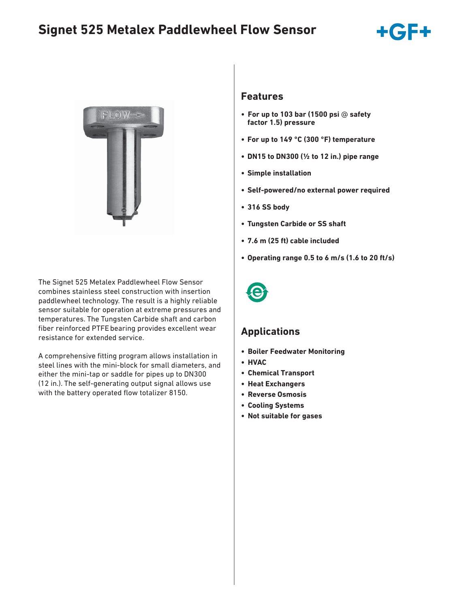# **Signet 525 Metalex Paddlewheel Flow Sensor**



The Signet 525 Metalex Paddlewheel Flow Sensor combines stainless steel construction with insertion paddlewheel technology. The result is a highly reliable sensor suitable for operation at extreme pressures and temperatures. The Tungsten Carbide shaft and carbon fiber reinforced PTFE bearing provides excellent wear resistance for extended service.

A comprehensive fitting program allows installation in steel lines with the mini-block for small diameters, and either the mini-tap or saddle for pipes up to DN300 (12 in.). The self-generating output signal allows use with the battery operated flow totalizer 8150.

### **Features**

- **For up to 103 bar (1500 psi** @ **safety factor 1.5) pressure**
- **For up to 149 °C (300 °F) temperature**
- **DN15 to DN300 (½ to 12 in.) pipe range**
- **Simple installation**
- **Self-powered/no external power required**
- **316 SS body**
- **Tungsten Carbide or SS shaft**
- **7.6 m (25 ft) cable included**
- **Operating range 0.5 to 6 m/s (1.6 to 20 ft/s)**



### **Applications**

- **Boiler Feedwater Monitoring**
- **HVAC**
- **Chemical Transport**
- **Heat Exchangers**
- **Reverse Osmosis**
- **Cooling Systems**
- **Not suitable for gases**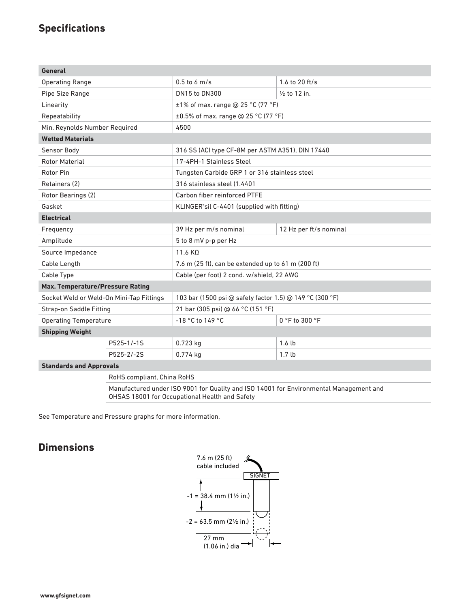### **Specifications**

| <b>General</b>                           |                            |                                                          |                                                                                       |  |  |
|------------------------------------------|----------------------------|----------------------------------------------------------|---------------------------------------------------------------------------------------|--|--|
| <b>Operating Range</b>                   |                            | $0.5$ to 6 m/s                                           | 1.6 to 20 ft/s                                                                        |  |  |
| Pipe Size Range                          |                            | DN15 to DN300                                            | $\frac{1}{2}$ to 12 in.                                                               |  |  |
| Linearity                                |                            | $\pm$ 1% of max. range @ 25 °C (77 °F)                   |                                                                                       |  |  |
| Repeatability                            |                            | ±0.5% of max. range @ 25 °C (77 °F)                      |                                                                                       |  |  |
| Min. Reynolds Number Required            |                            | 4500                                                     |                                                                                       |  |  |
| <b>Wetted Materials</b>                  |                            |                                                          |                                                                                       |  |  |
| Sensor Body                              |                            | 316 SS (ACI type CF-8M per ASTM A351), DIN 17440         |                                                                                       |  |  |
| <b>Rotor Material</b>                    |                            | 17-4PH-1 Stainless Steel                                 |                                                                                       |  |  |
| Rotor Pin                                |                            | Tungsten Carbide GRP 1 or 316 stainless steel            |                                                                                       |  |  |
| Retainers (2)                            |                            | 316 stainless steel (1.4401                              |                                                                                       |  |  |
| Rotor Bearings (2)                       |                            | Carbon fiber reinforced PTFE                             |                                                                                       |  |  |
| Gasket                                   |                            | KLINGER <sup>®</sup> sil C-4401 (supplied with fitting)  |                                                                                       |  |  |
| <b>Electrical</b>                        |                            |                                                          |                                                                                       |  |  |
| Frequency                                |                            | 39 Hz per m/s nominal                                    | 12 Hz per ft/s nominal                                                                |  |  |
| Amplitude                                |                            | 5 to 8 mV p-p per Hz                                     |                                                                                       |  |  |
| Source Impedance                         |                            | 11.6 KQ                                                  |                                                                                       |  |  |
| Cable Length                             |                            | 7.6 m (25 ft), can be extended up to 61 m (200 ft)       |                                                                                       |  |  |
| Cable Type                               |                            | Cable (per foot) 2 cond. w/shield, 22 AWG                |                                                                                       |  |  |
| <b>Max. Temperature/Pressure Rating</b>  |                            |                                                          |                                                                                       |  |  |
| Socket Weld or Weld-On Mini-Tap Fittings |                            | 103 bar (1500 psi @ safety factor 1.5) @ 149 °C (300 °F) |                                                                                       |  |  |
| Strap-on Saddle Fitting                  |                            | 21 bar (305 psi) @ 66 °C (151 °F)                        |                                                                                       |  |  |
| <b>Operating Temperature</b>             |                            | -18 °C to 149 °C                                         | 0 °F to 300 °F                                                                        |  |  |
| <b>Shipping Weight</b>                   |                            |                                                          |                                                                                       |  |  |
|                                          | P525-1/-1S                 | 0.723 kg                                                 | 1.6 <sub>1b</sub>                                                                     |  |  |
|                                          | P525-2/-2S                 | 0.774 kg                                                 | 1.7 <sub>lb</sub>                                                                     |  |  |
| <b>Standards and Approvals</b>           |                            |                                                          |                                                                                       |  |  |
|                                          | RoHS compliant, China RoHS |                                                          |                                                                                       |  |  |
|                                          |                            |                                                          | Manufactured under ICO 0001 fer Ouglitused ICO 1/001 fer Environmental Management cad |  |  |

Manufactured under ISO 9001 for Quality and ISO 14001 for Environmental Management and OHSAS 18001 for Occupational Health and Safety

See Temperature and Pressure graphs for more information.

### **Dimensions**

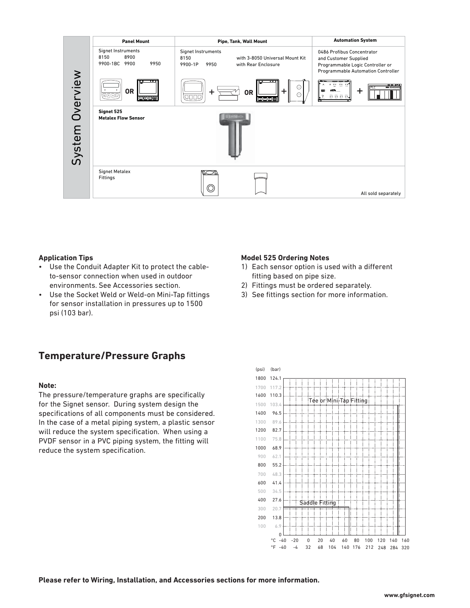

#### **Application Tips**

- Use the Conduit Adapter Kit to protect the cableto-sensor connection when used in outdoor environments. See Accessories section.
- Use the Socket Weld or Weld-on Mini-Tap fittings for sensor installation in pressures up to 1500 psi (103 bar).

#### **Model 525 Ordering Notes**

- 1) Each sensor option is used with a different fitting based on pipe size.
- 2) Fittings must be ordered separately.
- 3) See fittings section for more information.

### **Temperature/Pressure Graphs**

#### **Note:**

The pressure/temperature graphs are specifically for the Signet sensor. During system design the specifications of all components must be considered. In the case of a metal piping system, a plastic sensor will reduce the system specification. When using a PVDF sensor in a PVC piping system, the fitting will reduce the system specification.